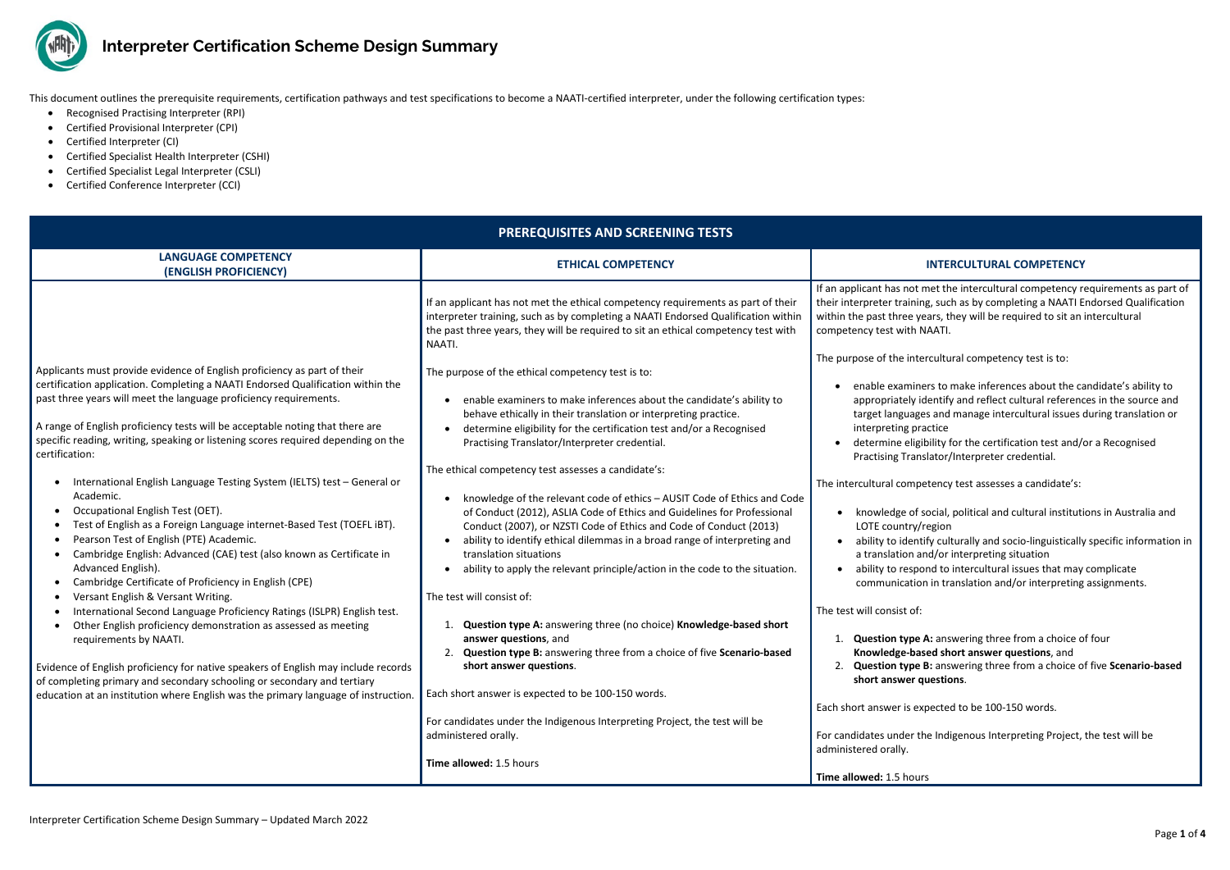

## **Interpreter Certification Scheme Design Summary**

If an applicant met the intercultural competency requirements as part of their interpreter interpreter interpreten as by completing a NAATI Endorsed Qualification ars, they will be required to sit an intercultural AATI.

rs to make inferences about the candidate's ability to entify and reflect cultural references in the source and and manage intercultural issues during translation or tice

ility for the certification test and/or a Recognised lator/Interpreter credential.

ecial, political and cultural institutions in Australia and egion

y culturally and socio-linguistically specific information in d/or interpreting situation

d to intercultural issues that may complicate

in translation and/or interpreting assignments.

This document outlines the prerequisite requirements, certification pathways and test specifications to become a NAATI-certified interpreter, under the following certification types:

- Recognised Practising Interpreter (RPI)
- Certified Provisional Interpreter (CPI)
- Certified Interpreter (CI)
- Certified Specialist Health Interpreter (CSHI)
- Certified Specialist Legal Interpreter (CSLI)
- Certified Conference Interpreter (CCI)

1. **Question type A:** answering three from a choice of four **Red short answer questions**, and 2. **Question type B:** answering three from a choice of five **Scenario-based s** estions.

Indigenous Interpreting Project, the test will be

| <b>PREREQUISITES AND SCREENING TESTS</b>                                                                                                                                                                                                                                                                                                                                                                                                                                                                                                                                                                                                                                                                                                                                                                                                                                                                                                                                                                                                                                                                                                                                                                                                                                                             |                                                                                                                                                                                                                                                                                                                                                                                                                                                                                                                                                                                                                                                                                                                                                                                                                                                                                                                                                                                                                                                                                                                                                                                              |                                                                                                                                                                                                                                                                                                                                                                                                                                                                                                                                                                                                                                                                                                                                                                                                                                                                                                                                                                                                                                                                                                     |
|------------------------------------------------------------------------------------------------------------------------------------------------------------------------------------------------------------------------------------------------------------------------------------------------------------------------------------------------------------------------------------------------------------------------------------------------------------------------------------------------------------------------------------------------------------------------------------------------------------------------------------------------------------------------------------------------------------------------------------------------------------------------------------------------------------------------------------------------------------------------------------------------------------------------------------------------------------------------------------------------------------------------------------------------------------------------------------------------------------------------------------------------------------------------------------------------------------------------------------------------------------------------------------------------------|----------------------------------------------------------------------------------------------------------------------------------------------------------------------------------------------------------------------------------------------------------------------------------------------------------------------------------------------------------------------------------------------------------------------------------------------------------------------------------------------------------------------------------------------------------------------------------------------------------------------------------------------------------------------------------------------------------------------------------------------------------------------------------------------------------------------------------------------------------------------------------------------------------------------------------------------------------------------------------------------------------------------------------------------------------------------------------------------------------------------------------------------------------------------------------------------|-----------------------------------------------------------------------------------------------------------------------------------------------------------------------------------------------------------------------------------------------------------------------------------------------------------------------------------------------------------------------------------------------------------------------------------------------------------------------------------------------------------------------------------------------------------------------------------------------------------------------------------------------------------------------------------------------------------------------------------------------------------------------------------------------------------------------------------------------------------------------------------------------------------------------------------------------------------------------------------------------------------------------------------------------------------------------------------------------------|
| <b>LANGUAGE COMPETENCY</b><br>(ENGLISH PROFICIENCY)                                                                                                                                                                                                                                                                                                                                                                                                                                                                                                                                                                                                                                                                                                                                                                                                                                                                                                                                                                                                                                                                                                                                                                                                                                                  | <b>ETHICAL COMPETENCY</b>                                                                                                                                                                                                                                                                                                                                                                                                                                                                                                                                                                                                                                                                                                                                                                                                                                                                                                                                                                                                                                                                                                                                                                    | <b>INTERCULTURAL COMPETENCY</b>                                                                                                                                                                                                                                                                                                                                                                                                                                                                                                                                                                                                                                                                                                                                                                                                                                                                                                                                                                                                                                                                     |
|                                                                                                                                                                                                                                                                                                                                                                                                                                                                                                                                                                                                                                                                                                                                                                                                                                                                                                                                                                                                                                                                                                                                                                                                                                                                                                      | If an applicant has not met the ethical competency requirements as part of their<br>interpreter training, such as by completing a NAATI Endorsed Qualification within<br>the past three years, they will be required to sit an ethical competency test with<br>NAATI.                                                                                                                                                                                                                                                                                                                                                                                                                                                                                                                                                                                                                                                                                                                                                                                                                                                                                                                        | If an applicant has not met the intercultural competency r<br>their interpreter training, such as by completing a NAATI E<br>within the past three years, they will be required to sit an<br>competency test with NAATI.                                                                                                                                                                                                                                                                                                                                                                                                                                                                                                                                                                                                                                                                                                                                                                                                                                                                            |
| Applicants must provide evidence of English proficiency as part of their<br>certification application. Completing a NAATI Endorsed Qualification within the<br>past three years will meet the language proficiency requirements.<br>A range of English proficiency tests will be acceptable noting that there are<br>specific reading, writing, speaking or listening scores required depending on the<br>certification:<br>International English Language Testing System (IELTS) test - General or<br>Academic.<br>Occupational English Test (OET).<br>Test of English as a Foreign Language internet-Based Test (TOEFL iBT).<br>Pearson Test of English (PTE) Academic.<br>Cambridge English: Advanced (CAE) test (also known as Certificate in<br>Advanced English).<br>Cambridge Certificate of Proficiency in English (CPE)<br>Versant English & Versant Writing.<br>International Second Language Proficiency Ratings (ISLPR) English test.<br>Other English proficiency demonstration as assessed as meeting<br>requirements by NAATI.<br>Evidence of English proficiency for native speakers of English may include records<br>of completing primary and secondary schooling or secondary and tertiary<br>education at an institution where English was the primary language of instruction. | The purpose of the ethical competency test is to:<br>enable examiners to make inferences about the candidate's ability to<br>behave ethically in their translation or interpreting practice.<br>determine eligibility for the certification test and/or a Recognised<br>Practising Translator/Interpreter credential.<br>The ethical competency test assesses a candidate's:<br>knowledge of the relevant code of ethics - AUSIT Code of Ethics and Code<br>of Conduct (2012), ASLIA Code of Ethics and Guidelines for Professional<br>Conduct (2007), or NZSTI Code of Ethics and Code of Conduct (2013)<br>ability to identify ethical dilemmas in a broad range of interpreting and<br>translation situations<br>ability to apply the relevant principle/action in the code to the situation.<br>The test will consist of:<br>Question type A: answering three (no choice) Knowledge-based short<br>answer questions, and<br>Question type B: answering three from a choice of five Scenario-based<br>short answer questions.<br>Each short answer is expected to be 100-150 words.<br>For candidates under the Indigenous Interpreting Project, the test will be<br>administered orally. | The purpose of the intercultural competency test is to:<br>enable examiners to make inferences about the ca<br>appropriately identify and reflect cultural referend<br>target languages and manage intercultural issues<br>interpreting practice<br>determine eligibility for the certification test and/<br>Practising Translator/Interpreter credential.<br>The intercultural competency test assesses a candidate's:<br>knowledge of social, political and cultural instituti<br>LOTE country/region<br>ability to identify culturally and socio-linguistically<br>a translation and/or interpreting situation<br>ability to respond to intercultural issues that may<br>communication in translation and/or interpreting<br>The test will consist of:<br><b>Question type A: answering three from a choice o</b><br>Knowledge-based short answer questions, and<br>Question type B: answering three from a choice o<br>2.<br>short answer questions.<br>Each short answer is expected to be 100-150 words.<br>For candidates under the Indigenous Interpreting Project,<br>administered orally. |
|                                                                                                                                                                                                                                                                                                                                                                                                                                                                                                                                                                                                                                                                                                                                                                                                                                                                                                                                                                                                                                                                                                                                                                                                                                                                                                      | Time allowed: 1.5 hours                                                                                                                                                                                                                                                                                                                                                                                                                                                                                                                                                                                                                                                                                                                                                                                                                                                                                                                                                                                                                                                                                                                                                                      | Time allowed: 1.5 hours                                                                                                                                                                                                                                                                                                                                                                                                                                                                                                                                                                                                                                                                                                                                                                                                                                                                                                                                                                                                                                                                             |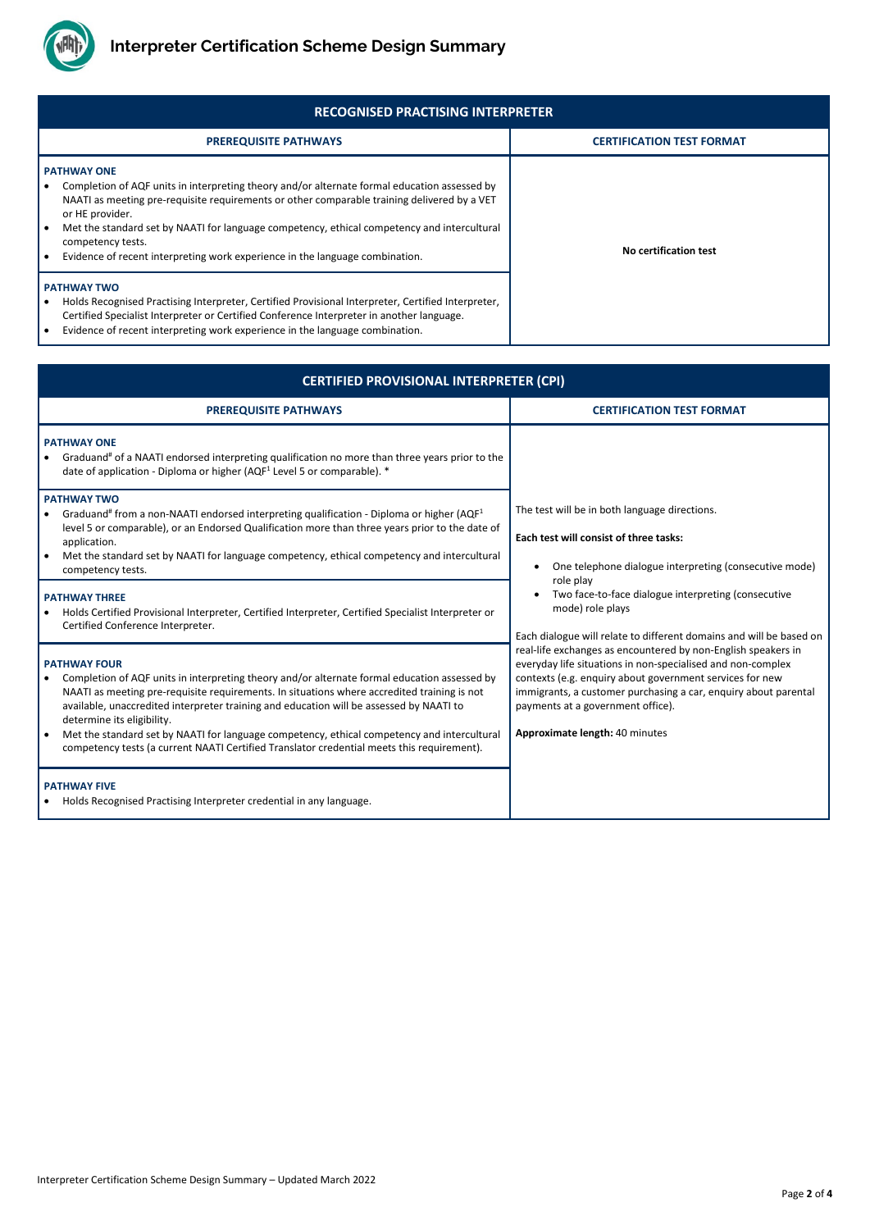

Interpreter Certification Scheme Design Summary – Updated March 2022

| <b>RECOGNISED PRACTISING INTERPRETER</b>                                                                                                                                                                                                                                                                                                                                                                                                 |                                  |
|------------------------------------------------------------------------------------------------------------------------------------------------------------------------------------------------------------------------------------------------------------------------------------------------------------------------------------------------------------------------------------------------------------------------------------------|----------------------------------|
| <b>PREREQUISITE PATHWAYS</b>                                                                                                                                                                                                                                                                                                                                                                                                             | <b>CERTIFICATION TEST FORMAT</b> |
| <b>PATHWAY ONE</b><br>Completion of AQF units in interpreting theory and/or alternate formal education assessed by<br>NAATI as meeting pre-requisite requirements or other comparable training delivered by a VET<br>or HE provider.<br>Met the standard set by NAATI for language competency, ethical competency and intercultural<br>competency tests.<br>Evidence of recent interpreting work experience in the language combination. | No certification test            |
| <b>PATHWAY TWO</b><br>Holds Recognised Practising Interpreter, Certified Provisional Interpreter, Certified Interpreter,<br>Certified Specialist Interpreter or Certified Conference Interpreter in another language.<br>Evidence of recent interpreting work experience in the language combination.                                                                                                                                    |                                  |

| <b>CERTIFIED PROVISIONAL INTERPRETER (CPI)</b>                                                                                                                                                                                                                                                                                                                                                                                                                                                                                           |                                                                                                                                                                                                                                                                                                                                    |
|------------------------------------------------------------------------------------------------------------------------------------------------------------------------------------------------------------------------------------------------------------------------------------------------------------------------------------------------------------------------------------------------------------------------------------------------------------------------------------------------------------------------------------------|------------------------------------------------------------------------------------------------------------------------------------------------------------------------------------------------------------------------------------------------------------------------------------------------------------------------------------|
| <b>PREREQUISITE PATHWAYS</b>                                                                                                                                                                                                                                                                                                                                                                                                                                                                                                             | <b>CERTIFICATION TEST FORMAT</b>                                                                                                                                                                                                                                                                                                   |
| <b>PATHWAY ONE</b><br>Graduand <sup>#</sup> of a NAATI endorsed interpreting qualification no more than three years prior to the<br>date of application - Diploma or higher (AQF <sup>1</sup> Level 5 or comparable). *                                                                                                                                                                                                                                                                                                                  |                                                                                                                                                                                                                                                                                                                                    |
| <b>PATHWAY TWO</b><br>Graduand <sup>#</sup> from a non-NAATI endorsed interpreting qualification - Diploma or higher ( $AQF1$<br>level 5 or comparable), or an Endorsed Qualification more than three years prior to the date of<br>application.<br>Met the standard set by NAATI for language competency, ethical competency and intercultural<br>competency tests.                                                                                                                                                                     | The test will be in both language directions.<br>Each test will consist of three tasks:<br>One telephone dialogue interpreting (consecutive mode)<br>role play<br>Two face-to-face dialogue interpreting (consecutive<br>mode) role plays<br>Each dialogue will relate to different domains and will be based on                   |
| <b>PATHWAY THREE</b><br>Holds Certified Provisional Interpreter, Certified Interpreter, Certified Specialist Interpreter or<br>Certified Conference Interpreter.                                                                                                                                                                                                                                                                                                                                                                         |                                                                                                                                                                                                                                                                                                                                    |
| <b>PATHWAY FOUR</b><br>Completion of AQF units in interpreting theory and/or alternate formal education assessed by<br>NAATI as meeting pre-requisite requirements. In situations where accredited training is not<br>available, unaccredited interpreter training and education will be assessed by NAATI to<br>determine its eligibility.<br>Met the standard set by NAATI for language competency, ethical competency and intercultural<br>competency tests (a current NAATI Certified Translator credential meets this requirement). | real-life exchanges as encountered by non-English speakers in<br>everyday life situations in non-specialised and non-complex<br>contexts (e.g. enquiry about government services for new<br>immigrants, a customer purchasing a car, enquiry about parental<br>payments at a government office).<br>Approximate length: 40 minutes |
| <b>PATHWAY FIVE</b><br>Holds Recognised Practising Interpreter credential in any language.                                                                                                                                                                                                                                                                                                                                                                                                                                               |                                                                                                                                                                                                                                                                                                                                    |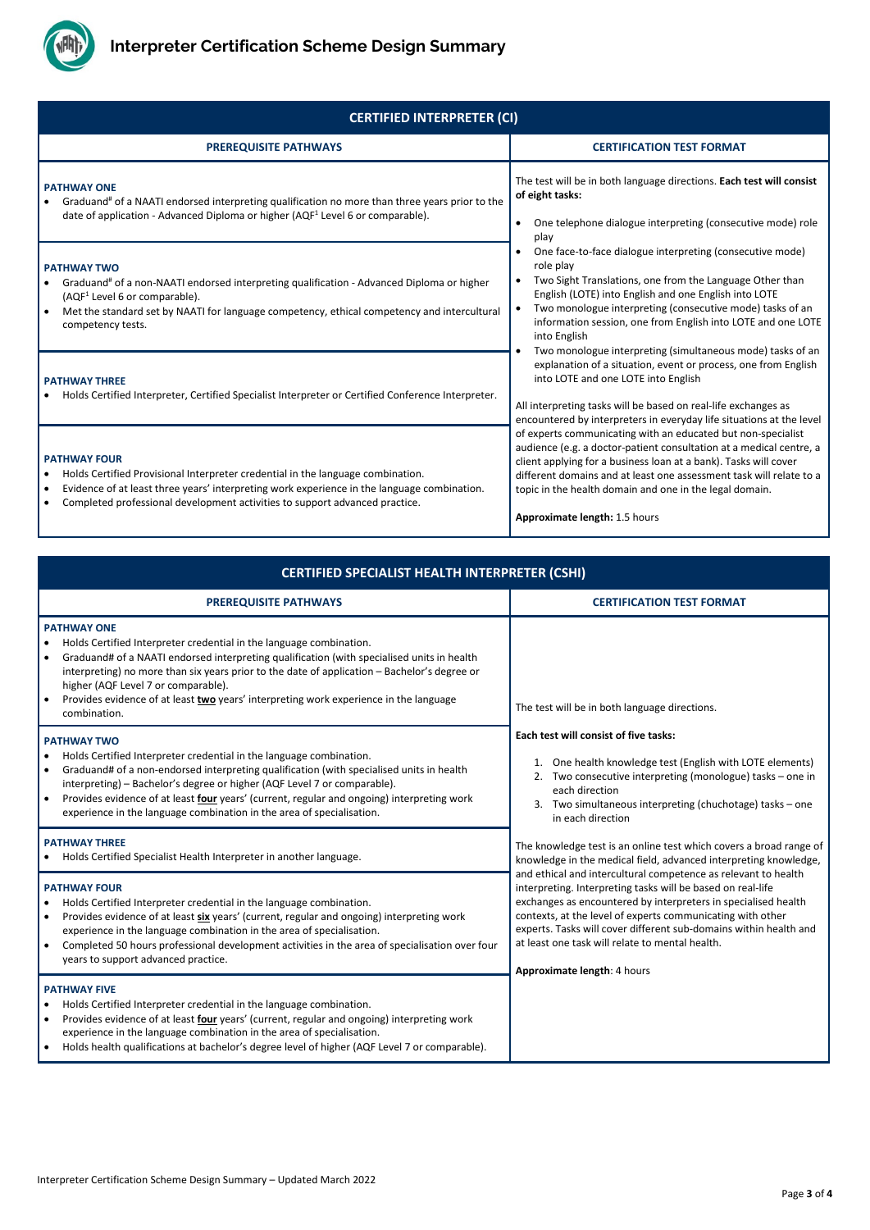

Interpreter Certification Scheme Design Summary – Updated March 2022

| <b>CERTIFIED INTERPRETER (CI)</b>                                                                                                                                                                                                                                                            |                                                                                                                                                                                                                                                                                                                                                                            |  |
|----------------------------------------------------------------------------------------------------------------------------------------------------------------------------------------------------------------------------------------------------------------------------------------------|----------------------------------------------------------------------------------------------------------------------------------------------------------------------------------------------------------------------------------------------------------------------------------------------------------------------------------------------------------------------------|--|
| <b>PREREQUISITE PATHWAYS</b>                                                                                                                                                                                                                                                                 | <b>CERTIFICATION TEST FORMAT</b>                                                                                                                                                                                                                                                                                                                                           |  |
| <b>PATHWAY ONE</b><br>Graduand <sup>#</sup> of a NAATI endorsed interpreting qualification no more than three years prior to the<br>date of application - Advanced Diploma or higher (AQF <sup>1</sup> Level 6 or comparable).                                                               | The test will be in both language directions. Each test will consist<br>of eight tasks:<br>One telephone dialogue interpreting (consecutive mode) role<br>$\bullet$<br>play                                                                                                                                                                                                |  |
| <b>PATHWAY TWO</b><br>Graduand <sup>#</sup> of a non-NAATI endorsed interpreting qualification - Advanced Diploma or higher<br>(AQF <sup>1</sup> Level 6 or comparable).<br>Met the standard set by NAATI for language competency, ethical competency and intercultural<br>competency tests. | One face-to-face dialogue interpreting (consecutive mode)<br>role play<br>Two Sight Translations, one from the Language Other than<br>English (LOTE) into English and one English into LOTE<br>Two monologue interpreting (consecutive mode) tasks of an<br>information session, one from English into LOTE and one LOTE<br>into English                                   |  |
| <b>PATHWAY THREE</b><br>Holds Certified Interpreter, Certified Specialist Interpreter or Certified Conference Interpreter.                                                                                                                                                                   | Two monologue interpreting (simultaneous mode) tasks of an<br>explanation of a situation, event or process, one from English<br>into LOTE and one LOTE into English<br>All interpreting tasks will be based on real-life exchanges as<br>encountered by interpreters in everyday life situations at the level                                                              |  |
| <b>PATHWAY FOUR</b><br>Holds Certified Provisional Interpreter credential in the language combination.<br>Evidence of at least three years' interpreting work experience in the language combination.<br>Completed professional development activities to support advanced practice.         | of experts communicating with an educated but non-specialist<br>audience (e.g. a doctor-patient consultation at a medical centre, a<br>client applying for a business loan at a bank). Tasks will cover<br>different domains and at least one assessment task will relate to a<br>topic in the health domain and one in the legal domain.<br>Approximate length: 1.5 hours |  |

| <b>CERTIFIED SPECIALIST HEALTH INTERPRETER (CSHI)</b>                                                                                                                                                                                                                                                                                                                                                                                                 |                                                                                                                                                                                                                                                                         |  |
|-------------------------------------------------------------------------------------------------------------------------------------------------------------------------------------------------------------------------------------------------------------------------------------------------------------------------------------------------------------------------------------------------------------------------------------------------------|-------------------------------------------------------------------------------------------------------------------------------------------------------------------------------------------------------------------------------------------------------------------------|--|
| <b>PREREQUISITE PATHWAYS</b>                                                                                                                                                                                                                                                                                                                                                                                                                          | <b>CERTIFICATION TEST FORMAT</b>                                                                                                                                                                                                                                        |  |
| <b>PATHWAY ONE</b><br>Holds Certified Interpreter credential in the language combination.<br>Graduand# of a NAATI endorsed interpreting qualification (with specialised units in health<br>interpreting) no more than six years prior to the date of application - Bachelor's degree or<br>higher (AQF Level 7 or comparable).<br>Provides evidence of at least two years' interpreting work experience in the language<br>combination.               | The test will be in both language directions.                                                                                                                                                                                                                           |  |
| <b>PATHWAY TWO</b><br>Holds Certified Interpreter credential in the language combination.<br>Graduand# of a non-endorsed interpreting qualification (with specialised units in health<br>interpreting) - Bachelor's degree or higher (AQF Level 7 or comparable).<br>Provides evidence of at least four years' (current, regular and ongoing) interpreting work<br>$\bullet$<br>experience in the language combination in the area of specialisation. | Each test will consist of five tasks:<br>One health knowledge test (English with LOTE elements)<br>Two consecutive interpreting (monologue) tasks - one in<br>each direction<br>Two simultaneous interpreting (chuchotage) tasks - one<br>3.<br>in each direction       |  |
| <b>PATHWAY THREE</b><br>Holds Certified Specialist Health Interpreter in another language.<br>$\bullet$<br><b>PATHWAY FOUR</b>                                                                                                                                                                                                                                                                                                                        | The knowledge test is an online test which covers a broad range of<br>knowledge in the medical field, advanced interpreting knowledge,<br>and ethical and intercultural competence as relevant to health<br>interpreting. Interpreting tasks will be based on real-life |  |
| Holds Certified Interpreter credential in the language combination.                                                                                                                                                                                                                                                                                                                                                                                   | exchanges as encountered by interpreters in specialised health                                                                                                                                                                                                          |  |

contexts, at the level of experts communicating with other

| experience in the language combination in the area of specialisation.                                                                                                                                                                                                                                                                                              | experts. Tasks will cover different sub-domains within health and |
|--------------------------------------------------------------------------------------------------------------------------------------------------------------------------------------------------------------------------------------------------------------------------------------------------------------------------------------------------------------------|-------------------------------------------------------------------|
| Completed 50 hours professional development activities in the area of specialisation over four                                                                                                                                                                                                                                                                     | at least one task will relate to mental health.                   |
| years to support advanced practice.                                                                                                                                                                                                                                                                                                                                | Approximate length: 4 hours                                       |
| <b>PATHWAY FIVE</b><br>Holds Certified Interpreter credential in the language combination.<br>Provides evidence of at least four years' (current, regular and ongoing) interpreting work<br>experience in the language combination in the area of specialisation.<br>Holds health qualifications at bachelor's degree level of higher (AQF Level 7 or comparable). |                                                                   |

- Provides evidence of at least **six** years' (current, regular and ongoing) interpreting work
	-